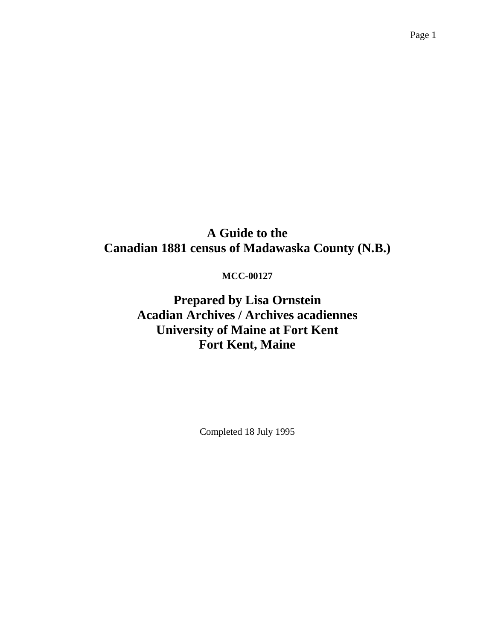# **A Guide to the Canadian 1881 census of Madawaska County (N.B.)**

## **MCC-00127**

**Prepared by Lisa Ornstein Acadian Archives / Archives acadiennes University of Maine at Fort Kent Fort Kent, Maine** 

Completed 18 July 1995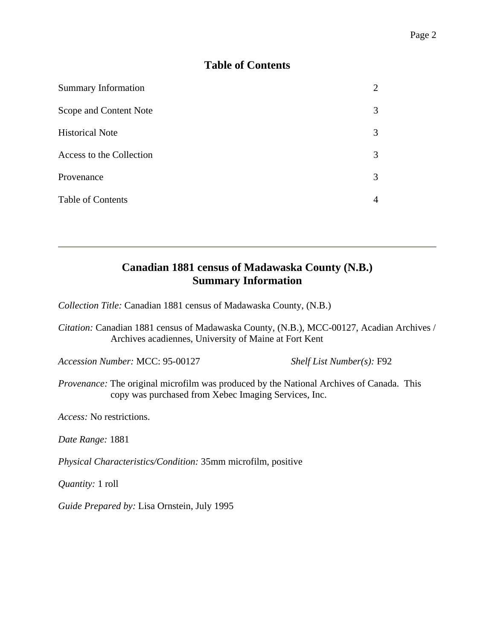## **Table of Contents**

| <b>Summary Information</b> |   |
|----------------------------|---|
| Scope and Content Note     | 3 |
| <b>Historical Note</b>     | 3 |
| Access to the Collection   | 3 |
| Provenance                 | 3 |
| <b>Table of Contents</b>   |   |

# **Canadian 1881 census of Madawaska County (N.B.) Summary Information**

*Collection Title:* Canadian 1881 census of Madawaska County, (N.B.)

*Citation:* Canadian 1881 census of Madawaska County, (N.B.), MCC-00127, Acadian Archives / Archives acadiennes, University of Maine at Fort Kent

*Accession Number:* MCC: 95-00127 *Shelf List Number(s):* F92

*Provenance:* The original microfilm was produced by the National Archives of Canada. This copy was purchased from Xebec Imaging Services, Inc.

*Access:* No restrictions.

*Date Range:* 1881

*Physical Characteristics/Condition:* 35mm microfilm, positive

*Quantity:* 1 roll

*Guide Prepared by:* Lisa Ornstein, July 1995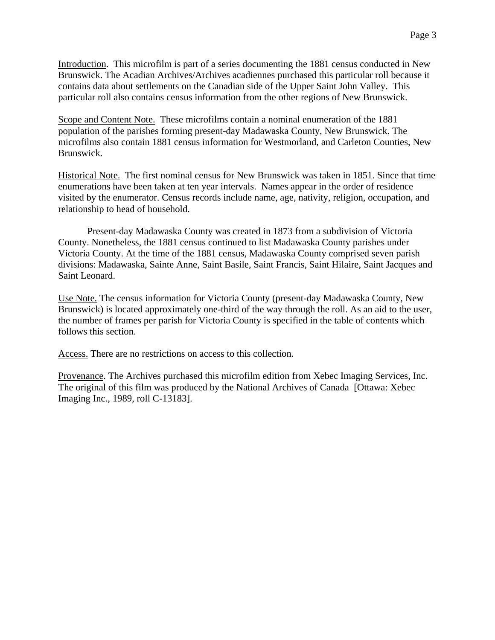Introduction. This microfilm is part of a series documenting the 1881 census conducted in New Brunswick. The Acadian Archives/Archives acadiennes purchased this particular roll because it contains data about settlements on the Canadian side of the Upper Saint John Valley. This particular roll also contains census information from the other regions of New Brunswick.

Scope and Content Note. These microfilms contain a nominal enumeration of the 1881 population of the parishes forming present-day Madawaska County, New Brunswick. The microfilms also contain 1881 census information for Westmorland, and Carleton Counties, New Brunswick.

Historical Note. The first nominal census for New Brunswick was taken in 1851. Since that time enumerations have been taken at ten year intervals. Names appear in the order of residence visited by the enumerator. Census records include name, age, nativity, religion, occupation, and relationship to head of household.

 Present-day Madawaska County was created in 1873 from a subdivision of Victoria County. Nonetheless, the 1881 census continued to list Madawaska County parishes under Victoria County. At the time of the 1881 census, Madawaska County comprised seven parish divisions: Madawaska, Sainte Anne, Saint Basile, Saint Francis, Saint Hilaire, Saint Jacques and Saint Leonard.

Use Note. The census information for Victoria County (present-day Madawaska County, New Brunswick) is located approximately one-third of the way through the roll. As an aid to the user, the number of frames per parish for Victoria County is specified in the table of contents which follows this section.

Access. There are no restrictions on access to this collection.

Provenance. The Archives purchased this microfilm edition from Xebec Imaging Services, Inc. The original of this film was produced by the National Archives of Canada [Ottawa: Xebec Imaging Inc., 1989, roll C-13183].